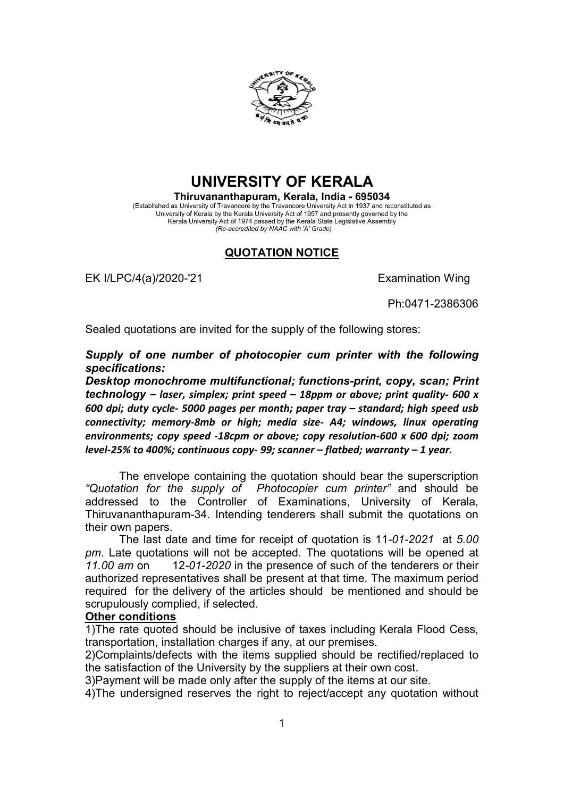

## UNIVERSITY OF KERALA

Thiruvananthapuram, Kerala, India - 695034 (Established as University of Travancore by the Travancore University Act in 1937 and reconstituted as University of Kerala by the Kerala University Act of 1957 and presently governed by the Kerala University Act of 1974 passed by the Kerala State Legislative Assembly (Re-accredited by NAAC with 'A' Grade)

## QUOTATION NOTICE

EK I/LPC/4(a)/2020-'21 EXamination Wing

Ph:0471-2386306

Sealed quotations are invited for the supply of the following stores:

Supply of one number of photocopier cum printer with the following specifications:

Desktop monochrome multifunctional; functions-print, copy, scan; Print technology – laser, simplex; print speed – 18ppm or above; print quality- 600 x 600 dpi; duty cycle- 5000 pages per month; paper tray – standard; high speed usb connectivity; memory-8mb or high; media size- A4; windows, linux operating environments; copy speed -18cpm or above; copy resolution-600 x 600 dpi; zoom level-25% to 400%; continuous copy- 99; scanner – flatbed; warranty – 1 year.

The envelope containing the quotation should bear the superscription "Quotation for the supply of Photocopier cum printer" and should be addressed to the Controller of Examinations, University of Kerala, Thiruvananthapuram-34. Intending tenderers shall submit the quotations on their own papers.

The last date and time for receipt of quotation is 11-01-2021 at 5.00 pm. Late quotations will not be accepted. The quotations will be opened at 11.00 am on 12-01-2020 in the presence of such of the tenderers or their authorized representatives shall be present at that time. The maximum period required for the delivery of the articles should be mentioned and should be scrupulously complied, if selected.

## Other conditions

1)The rate quoted should be inclusive of taxes including Kerala Flood Cess, transportation, installation charges if any, at our premises.

2)Complaints/defects with the items supplied should be rectified/replaced to the satisfaction of the University by the suppliers at their own cost.

3)Payment will be made only after the supply of the items at our site.

4)The undersigned reserves the right to reject/accept any quotation without